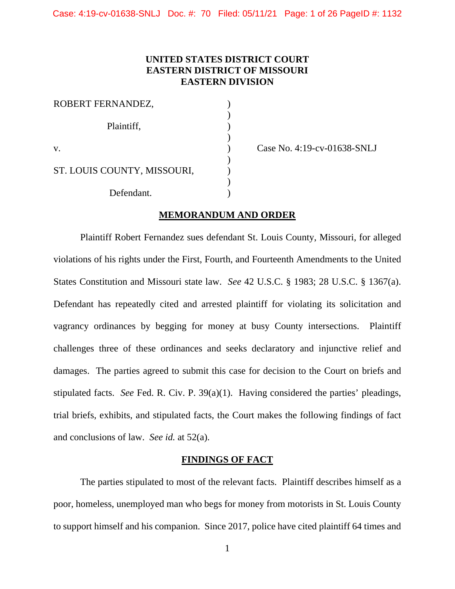## **UNITED STATES DISTRICT COURT EASTERN DISTRICT OF MISSOURI EASTERN DIVISION**

| ROBERT FERNANDEZ,           |  |
|-----------------------------|--|
| Plaintiff,                  |  |
| V.                          |  |
| ST. LOUIS COUNTY, MISSOURI, |  |
| Defendant.                  |  |

Case No. 4:19-cv-01638-SNLJ

#### **MEMORANDUM AND ORDER**

Plaintiff Robert Fernandez sues defendant St. Louis County, Missouri, for alleged violations of his rights under the First, Fourth, and Fourteenth Amendments to the United States Constitution and Missouri state law. *See* 42 U.S.C. § 1983; 28 U.S.C. § 1367(a). Defendant has repeatedly cited and arrested plaintiff for violating its solicitation and vagrancy ordinances by begging for money at busy County intersections. Plaintiff challenges three of these ordinances and seeks declaratory and injunctive relief and damages. The parties agreed to submit this case for decision to the Court on briefs and stipulated facts. *See* Fed. R. Civ. P. 39(a)(1). Having considered the parties' pleadings, trial briefs, exhibits, and stipulated facts, the Court makes the following findings of fact and conclusions of law. *See id.* at 52(a).

#### **FINDINGS OF FACT**

The parties stipulated to most of the relevant facts. Plaintiff describes himself as a poor, homeless, unemployed man who begs for money from motorists in St. Louis County to support himself and his companion. Since 2017, police have cited plaintiff 64 times and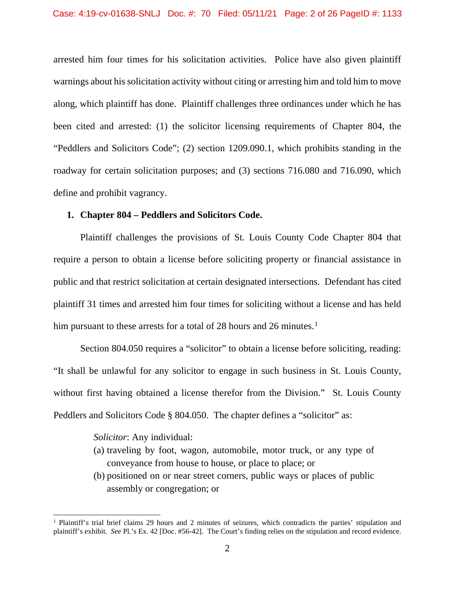arrested him four times for his solicitation activities. Police have also given plaintiff warnings about his solicitation activity without citing or arresting him and told him to move along, which plaintiff has done. Plaintiff challenges three ordinances under which he has been cited and arrested: (1) the solicitor licensing requirements of Chapter 804, the "Peddlers and Solicitors Code"; (2) section 1209.090.1, which prohibits standing in the roadway for certain solicitation purposes; and (3) sections 716.080 and 716.090, which define and prohibit vagrancy.

#### **1. Chapter 804 – Peddlers and Solicitors Code.**

Plaintiff challenges the provisions of St. Louis County Code Chapter 804 that require a person to obtain a license before soliciting property or financial assistance in public and that restrict solicitation at certain designated intersections. Defendant has cited plaintiff 31 times and arrested him four times for soliciting without a license and has held him pursuant to these arrests for a total of 28 hours and 26 minutes.<sup>[1](#page-1-0)</sup>

Section 804.050 requires a "solicitor" to obtain a license before soliciting, reading: "It shall be unlawful for any solicitor to engage in such business in St. Louis County, without first having obtained a license therefor from the Division." St. Louis County Peddlers and Solicitors Code § 804.050. The chapter defines a "solicitor" as:

*Solicitor*: Any individual:

- (a) traveling by foot, wagon, automobile, motor truck, or any type of conveyance from house to house, or place to place; or
- (b) positioned on or near street corners, public ways or places of public assembly or congregation; or

<span id="page-1-0"></span><sup>&</sup>lt;sup>1</sup> Plaintiff's trial brief claims 29 hours and 2 minutes of seizures, which contradicts the parties' stipulation and plaintiff's exhibit. *See* Pl.'s Ex. 42 [Doc. #56-42]. The Court's finding relies on the stipulation and record evidence.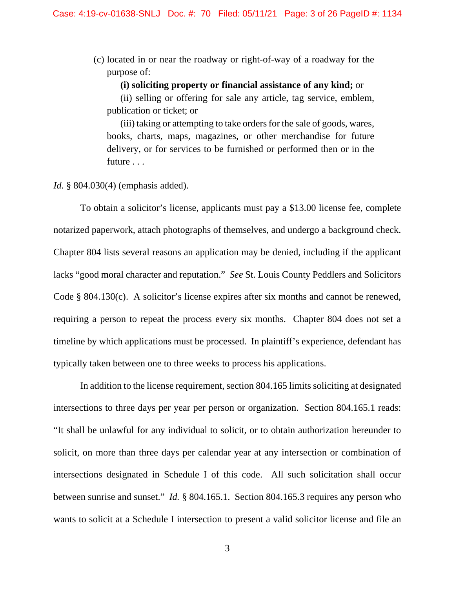(c) located in or near the roadway or right-of-way of a roadway for the purpose of:

#### **(i) soliciting property or financial assistance of any kind;** or

(ii) selling or offering for sale any article, tag service, emblem, publication or ticket; or

(iii) taking or attempting to take orders for the sale of goods, wares, books, charts, maps, magazines, or other merchandise for future delivery, or for services to be furnished or performed then or in the future . . .

#### *Id.* § 804.030(4) (emphasis added).

To obtain a solicitor's license, applicants must pay a \$13.00 license fee, complete notarized paperwork, attach photographs of themselves, and undergo a background check. Chapter 804 lists several reasons an application may be denied, including if the applicant lacks "good moral character and reputation." *See* St. Louis County Peddlers and Solicitors Code § 804.130(c). A solicitor's license expires after six months and cannot be renewed, requiring a person to repeat the process every six months. Chapter 804 does not set a timeline by which applications must be processed. In plaintiff's experience, defendant has typically taken between one to three weeks to process his applications.

In addition to the license requirement, section 804.165 limits soliciting at designated intersections to three days per year per person or organization. Section 804.165.1 reads: "It shall be unlawful for any individual to solicit, or to obtain authorization hereunder to solicit, on more than three days per calendar year at any intersection or combination of intersections designated in Schedule I of this code. All such solicitation shall occur between sunrise and sunset." *Id.* § 804.165.1. Section 804.165.3 requires any person who wants to solicit at a Schedule I intersection to present a valid solicitor license and file an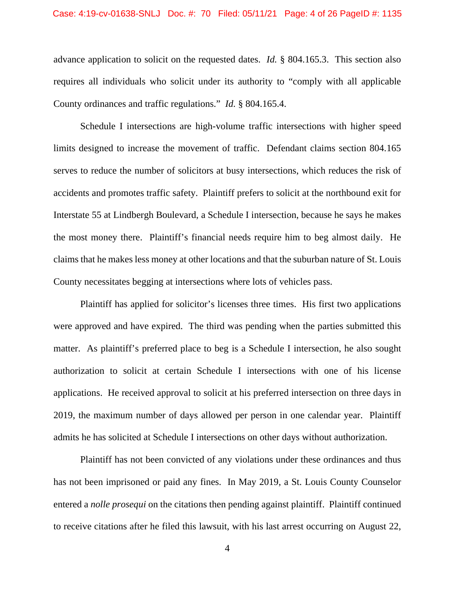advance application to solicit on the requested dates. *Id.* § 804.165.3. This section also requires all individuals who solicit under its authority to "comply with all applicable County ordinances and traffic regulations." *Id.* § 804.165.4.

Schedule I intersections are high-volume traffic intersections with higher speed limits designed to increase the movement of traffic. Defendant claims section 804.165 serves to reduce the number of solicitors at busy intersections, which reduces the risk of accidents and promotes traffic safety. Plaintiff prefers to solicit at the northbound exit for Interstate 55 at Lindbergh Boulevard, a Schedule I intersection, because he says he makes the most money there. Plaintiff's financial needs require him to beg almost daily. He claims that he makes less money at other locations and that the suburban nature of St. Louis County necessitates begging at intersections where lots of vehicles pass.

Plaintiff has applied for solicitor's licenses three times. His first two applications were approved and have expired. The third was pending when the parties submitted this matter. As plaintiff's preferred place to beg is a Schedule I intersection, he also sought authorization to solicit at certain Schedule I intersections with one of his license applications. He received approval to solicit at his preferred intersection on three days in 2019, the maximum number of days allowed per person in one calendar year. Plaintiff admits he has solicited at Schedule I intersections on other days without authorization.

Plaintiff has not been convicted of any violations under these ordinances and thus has not been imprisoned or paid any fines. In May 2019, a St. Louis County Counselor entered a *nolle prosequi* on the citations then pending against plaintiff. Plaintiff continued to receive citations after he filed this lawsuit, with his last arrest occurring on August 22,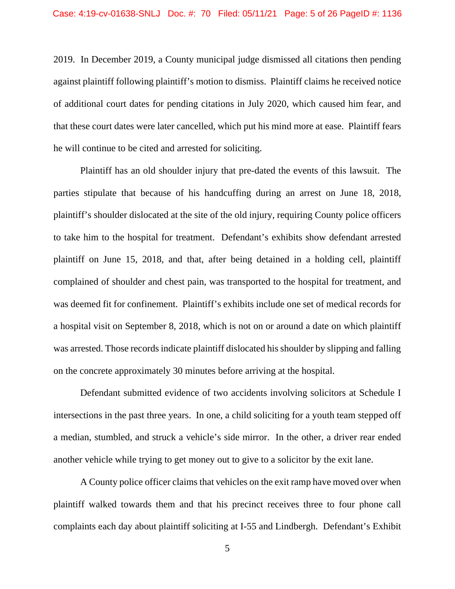2019. In December 2019, a County municipal judge dismissed all citations then pending against plaintiff following plaintiff's motion to dismiss. Plaintiff claims he received notice of additional court dates for pending citations in July 2020, which caused him fear, and that these court dates were later cancelled, which put his mind more at ease. Plaintiff fears he will continue to be cited and arrested for soliciting.

Plaintiff has an old shoulder injury that pre-dated the events of this lawsuit. The parties stipulate that because of his handcuffing during an arrest on June 18, 2018, plaintiff's shoulder dislocated at the site of the old injury, requiring County police officers to take him to the hospital for treatment. Defendant's exhibits show defendant arrested plaintiff on June 15, 2018, and that, after being detained in a holding cell, plaintiff complained of shoulder and chest pain, was transported to the hospital for treatment, and was deemed fit for confinement. Plaintiff's exhibits include one set of medical records for a hospital visit on September 8, 2018, which is not on or around a date on which plaintiff was arrested. Those records indicate plaintiff dislocated his shoulder by slipping and falling on the concrete approximately 30 minutes before arriving at the hospital.

Defendant submitted evidence of two accidents involving solicitors at Schedule I intersections in the past three years. In one, a child soliciting for a youth team stepped off a median, stumbled, and struck a vehicle's side mirror. In the other, a driver rear ended another vehicle while trying to get money out to give to a solicitor by the exit lane.

A County police officer claims that vehicles on the exit ramp have moved over when plaintiff walked towards them and that his precinct receives three to four phone call complaints each day about plaintiff soliciting at I-55 and Lindbergh. Defendant's Exhibit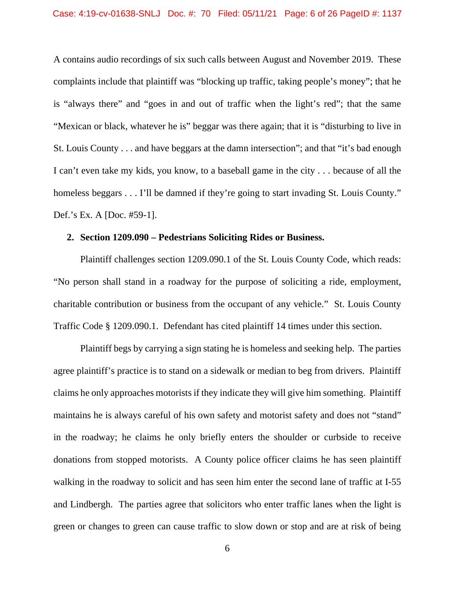A contains audio recordings of six such calls between August and November 2019. These complaints include that plaintiff was "blocking up traffic, taking people's money"; that he is "always there" and "goes in and out of traffic when the light's red"; that the same "Mexican or black, whatever he is" beggar was there again; that it is "disturbing to live in St. Louis County . . . and have beggars at the damn intersection"; and that "it's bad enough I can't even take my kids, you know, to a baseball game in the city . . . because of all the homeless beggars . . . I'll be damned if they're going to start invading St. Louis County." Def.'s Ex. A [Doc. #59-1].

#### **2. Section 1209.090 – Pedestrians Soliciting Rides or Business.**

Plaintiff challenges section 1209.090.1 of the St. Louis County Code, which reads: "No person shall stand in a roadway for the purpose of soliciting a ride, employment, charitable contribution or business from the occupant of any vehicle." St. Louis County Traffic Code § 1209.090.1. Defendant has cited plaintiff 14 times under this section.

Plaintiff begs by carrying a sign stating he is homeless and seeking help. The parties agree plaintiff's practice is to stand on a sidewalk or median to beg from drivers. Plaintiff claims he only approaches motorists if they indicate they will give him something. Plaintiff maintains he is always careful of his own safety and motorist safety and does not "stand" in the roadway; he claims he only briefly enters the shoulder or curbside to receive donations from stopped motorists. A County police officer claims he has seen plaintiff walking in the roadway to solicit and has seen him enter the second lane of traffic at I-55 and Lindbergh. The parties agree that solicitors who enter traffic lanes when the light is green or changes to green can cause traffic to slow down or stop and are at risk of being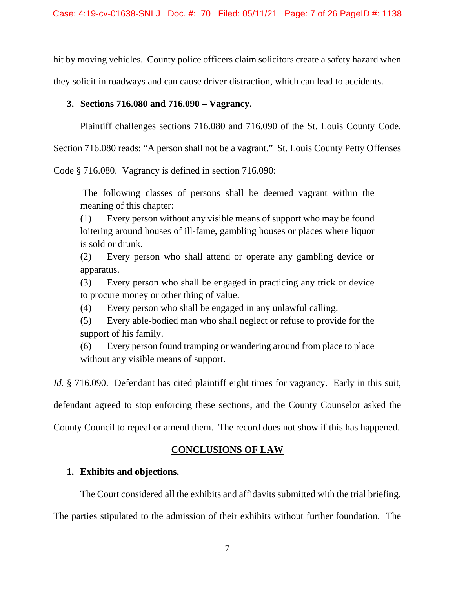hit by moving vehicles. County police officers claim solicitors create a safety hazard when they solicit in roadways and can cause driver distraction, which can lead to accidents.

## **3. Sections 716.080 and 716.090 – Vagrancy.**

Plaintiff challenges sections 716.080 and 716.090 of the St. Louis County Code.

Section 716.080 reads: "A person shall not be a vagrant." St. Louis County Petty Offenses

Code § 716.080. Vagrancy is defined in section 716.090:

The following classes of persons shall be deemed vagrant within the meaning of this chapter:

(1) Every person without any visible means of support who may be found loitering around houses of ill-fame, gambling houses or places where liquor is sold or drunk.

(2) Every person who shall attend or operate any gambling device or apparatus.

(3) Every person who shall be engaged in practicing any trick or device to procure money or other thing of value.

(4) Every person who shall be engaged in any unlawful calling.

(5) Every able-bodied man who shall neglect or refuse to provide for the support of his family.

(6) Every person found tramping or wandering around from place to place without any visible means of support.

*Id.* § 716.090. Defendant has cited plaintiff eight times for vagrancy. Early in this suit,

defendant agreed to stop enforcing these sections, and the County Counselor asked the

County Council to repeal or amend them. The record does not show if this has happened.

## **CONCLUSIONS OF LAW**

#### **1. Exhibits and objections.**

The Court considered all the exhibits and affidavits submitted with the trial briefing.

The parties stipulated to the admission of their exhibits without further foundation. The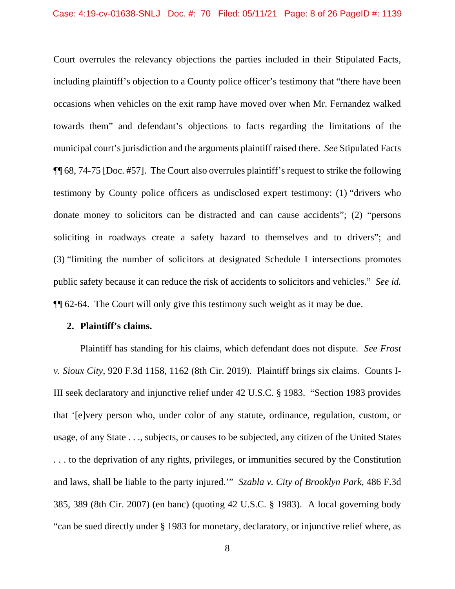Court overrules the relevancy objections the parties included in their Stipulated Facts, including plaintiff's objection to a County police officer's testimony that "there have been occasions when vehicles on the exit ramp have moved over when Mr. Fernandez walked towards them" and defendant's objections to facts regarding the limitations of the municipal court's jurisdiction and the arguments plaintiff raised there. *See* Stipulated Facts ¶¶ 68, 74-75 [Doc. #57]. The Court also overrules plaintiff's request to strike the following testimony by County police officers as undisclosed expert testimony: (1) "drivers who donate money to solicitors can be distracted and can cause accidents"; (2) "persons soliciting in roadways create a safety hazard to themselves and to drivers"; and (3) "limiting the number of solicitors at designated Schedule I intersections promotes public safety because it can reduce the risk of accidents to solicitors and vehicles." *See id.* ¶¶ 62-64. The Court will only give this testimony such weight as it may be due.

#### **2. Plaintiff's claims.**

Plaintiff has standing for his claims, which defendant does not dispute. *See Frost v. Sioux City*, 920 F.3d 1158, 1162 (8th Cir. 2019). Plaintiff brings six claims. Counts I-III seek declaratory and injunctive relief under 42 U.S.C. § 1983. "Section 1983 provides that '[e]very person who, under color of any statute, ordinance, regulation, custom, or usage, of any State . . ., subjects, or causes to be subjected, any citizen of the United States . . . to the deprivation of any rights, privileges, or immunities secured by the Constitution and laws, shall be liable to the party injured.'" *Szabla v. City of Brooklyn Park*, 486 F.3d 385, 389 (8th Cir. 2007) (en banc) (quoting 42 U.S.C. § 1983). A local governing body "can be sued directly under § 1983 for monetary, declaratory, or injunctive relief where, as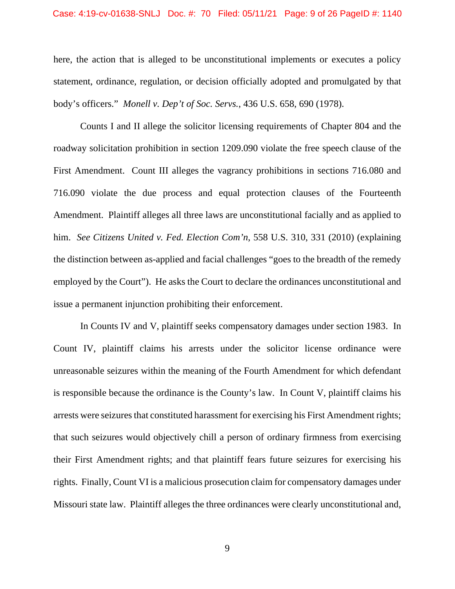here, the action that is alleged to be unconstitutional implements or executes a policy statement, ordinance, regulation, or decision officially adopted and promulgated by that body's officers." *Monell v. Dep't of Soc. Servs.*, 436 U.S. 658, 690 (1978).

Counts I and II allege the solicitor licensing requirements of Chapter 804 and the roadway solicitation prohibition in section 1209.090 violate the free speech clause of the First Amendment. Count III alleges the vagrancy prohibitions in sections 716.080 and 716.090 violate the due process and equal protection clauses of the Fourteenth Amendment. Plaintiff alleges all three laws are unconstitutional facially and as applied to him. *See Citizens United v. Fed. Election Com'n*, 558 U.S. 310, 331 (2010) (explaining the distinction between as-applied and facial challenges "goes to the breadth of the remedy employed by the Court"). He asks the Court to declare the ordinances unconstitutional and issue a permanent injunction prohibiting their enforcement.

In Counts IV and V, plaintiff seeks compensatory damages under section 1983. In Count IV, plaintiff claims his arrests under the solicitor license ordinance were unreasonable seizures within the meaning of the Fourth Amendment for which defendant is responsible because the ordinance is the County's law. In Count V, plaintiff claims his arrests were seizures that constituted harassment for exercising his First Amendment rights; that such seizures would objectively chill a person of ordinary firmness from exercising their First Amendment rights; and that plaintiff fears future seizures for exercising his rights. Finally, Count VI is a malicious prosecution claim for compensatory damages under Missouri state law. Plaintiff alleges the three ordinances were clearly unconstitutional and,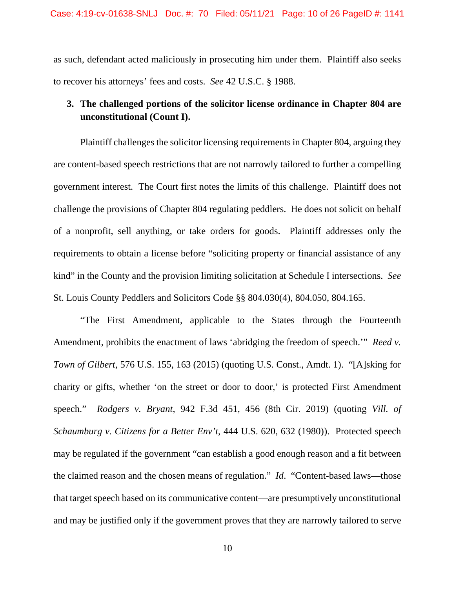as such, defendant acted maliciously in prosecuting him under them. Plaintiff also seeks to recover his attorneys' fees and costs. *See* 42 U.S.C. § 1988.

## **3. The challenged portions of the solicitor license ordinance in Chapter 804 are unconstitutional (Count I).**

Plaintiff challenges the solicitor licensing requirements in Chapter 804, arguing they are content-based speech restrictions that are not narrowly tailored to further a compelling government interest. The Court first notes the limits of this challenge. Plaintiff does not challenge the provisions of Chapter 804 regulating peddlers. He does not solicit on behalf of a nonprofit, sell anything, or take orders for goods. Plaintiff addresses only the requirements to obtain a license before "soliciting property or financial assistance of any kind" in the County and the provision limiting solicitation at Schedule I intersections. *See* St. Louis County Peddlers and Solicitors Code §§ 804.030(4), 804.050, 804.165.

"The First Amendment, applicable to the States through the Fourteenth Amendment, prohibits the enactment of laws 'abridging the freedom of speech.'" *Reed v. Town of Gilbert*, 576 U.S. 155, 163 (2015) (quoting U.S. Const., Amdt. 1). "[A]sking for charity or gifts, whether 'on the street or door to door,' is protected First Amendment speech." *Rodgers v. Bryant*, 942 F.3d 451, 456 (8th Cir. 2019) (quoting *Vill. of Schaumburg v. Citizens for a Better Env't*, 444 U.S. 620, 632 (1980)). Protected speech may be regulated if the government "can establish a good enough reason and a fit between the claimed reason and the chosen means of regulation." *Id*. "Content-based laws—those that target speech based on its communicative content—are presumptively unconstitutional and may be justified only if the government proves that they are narrowly tailored to serve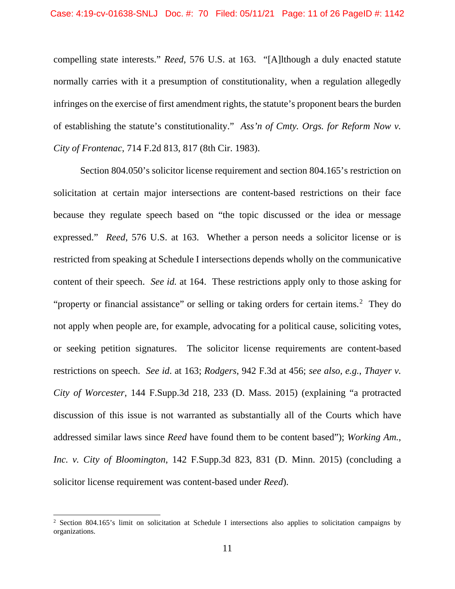compelling state interests." *Reed*, 576 U.S. at 163. "[A]lthough a duly enacted statute normally carries with it a presumption of constitutionality, when a regulation allegedly infringes on the exercise of first amendment rights, the statute's proponent bears the burden of establishing the statute's constitutionality." *Ass'n of Cmty. Orgs. for Reform Now v. City of Frontenac*, 714 F.2d 813, 817 (8th Cir. 1983).

Section 804.050's solicitor license requirement and section 804.165's restriction on solicitation at certain major intersections are content-based restrictions on their face because they regulate speech based on "the topic discussed or the idea or message expressed." *Reed*, 576 U.S. at 163. Whether a person needs a solicitor license or is restricted from speaking at Schedule I intersections depends wholly on the communicative content of their speech. *See id.* at 164. These restrictions apply only to those asking for "property or financial assistance" or selling or taking orders for certain items.<sup>[2](#page-10-0)</sup> They do not apply when people are, for example, advocating for a political cause, soliciting votes, or seeking petition signatures. The solicitor license requirements are content-based restrictions on speech. *See id*. at 163; *Rodgers*, 942 F.3d at 456; *see also, e.g.*, *Thayer v. City of Worcester*, 144 F.Supp.3d 218, 233 (D. Mass. 2015) (explaining "a protracted discussion of this issue is not warranted as substantially all of the Courts which have addressed similar laws since *Reed* have found them to be content based"); *Working Am., Inc. v. City of Bloomington*, 142 F.Supp.3d 823, 831 (D. Minn. 2015) (concluding a solicitor license requirement was content-based under *Reed*).

<span id="page-10-0"></span><sup>&</sup>lt;sup>2</sup> Section 804.165's limit on solicitation at Schedule I intersections also applies to solicitation campaigns by organizations.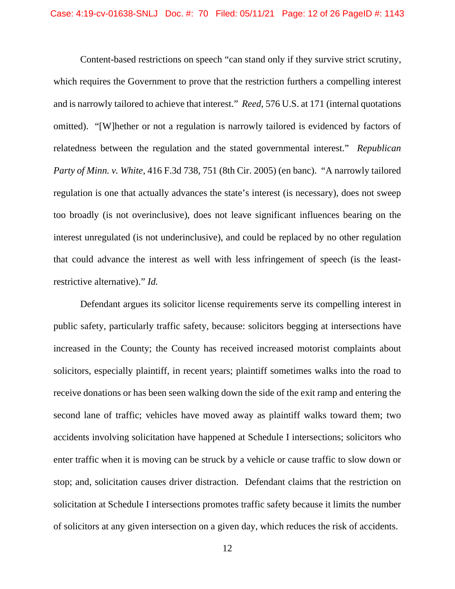Content-based restrictions on speech "can stand only if they survive strict scrutiny, which requires the Government to prove that the restriction furthers a compelling interest and is narrowly tailored to achieve that interest." *Reed*, 576 U.S. at 171 (internal quotations omitted). "[W]hether or not a regulation is narrowly tailored is evidenced by factors of relatedness between the regulation and the stated governmental interest." *Republican Party of Minn. v. White*, 416 F.3d 738, 751 (8th Cir. 2005) (en banc). "A narrowly tailored regulation is one that actually advances the state's interest (is necessary), does not sweep too broadly (is not overinclusive), does not leave significant influences bearing on the interest unregulated (is not underinclusive), and could be replaced by no other regulation that could advance the interest as well with less infringement of speech (is the leastrestrictive alternative)." *Id.*

Defendant argues its solicitor license requirements serve its compelling interest in public safety, particularly traffic safety, because: solicitors begging at intersections have increased in the County; the County has received increased motorist complaints about solicitors, especially plaintiff, in recent years; plaintiff sometimes walks into the road to receive donations or has been seen walking down the side of the exit ramp and entering the second lane of traffic; vehicles have moved away as plaintiff walks toward them; two accidents involving solicitation have happened at Schedule I intersections; solicitors who enter traffic when it is moving can be struck by a vehicle or cause traffic to slow down or stop; and, solicitation causes driver distraction. Defendant claims that the restriction on solicitation at Schedule I intersections promotes traffic safety because it limits the number of solicitors at any given intersection on a given day, which reduces the risk of accidents.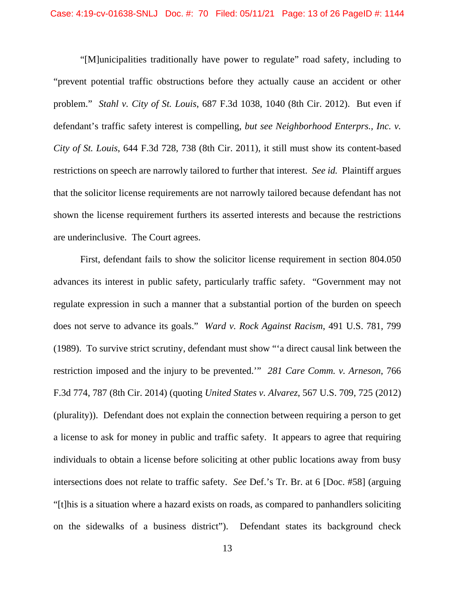"[M]unicipalities traditionally have power to regulate" road safety, including to "prevent potential traffic obstructions before they actually cause an accident or other problem." *Stahl v. City of St. Louis*, 687 F.3d 1038, 1040 (8th Cir. 2012). But even if defendant's traffic safety interest is compelling, *but see Neighborhood Enterprs., Inc. v. City of St. Louis*, 644 F.3d 728, 738 (8th Cir. 2011), it still must show its content-based restrictions on speech are narrowly tailored to further that interest. *See id.* Plaintiff argues that the solicitor license requirements are not narrowly tailored because defendant has not shown the license requirement furthers its asserted interests and because the restrictions are underinclusive. The Court agrees.

First, defendant fails to show the solicitor license requirement in section 804.050 advances its interest in public safety, particularly traffic safety. "Government may not regulate expression in such a manner that a substantial portion of the burden on speech does not serve to advance its goals." *Ward v. Rock Against Racism*, 491 U.S. 781, 799 (1989). To survive strict scrutiny, defendant must show "'a direct causal link between the restriction imposed and the injury to be prevented.'" *281 Care Comm. v. Arneson*, 766 F.3d 774, 787 (8th Cir. 2014) (quoting *United States v. Alvarez*, 567 U.S. 709, 725 (2012) (plurality)). Defendant does not explain the connection between requiring a person to get a license to ask for money in public and traffic safety. It appears to agree that requiring individuals to obtain a license before soliciting at other public locations away from busy intersections does not relate to traffic safety. *See* Def.'s Tr. Br. at 6 [Doc. #58] (arguing "[t]his is a situation where a hazard exists on roads, as compared to panhandlers soliciting on the sidewalks of a business district"). Defendant states its background check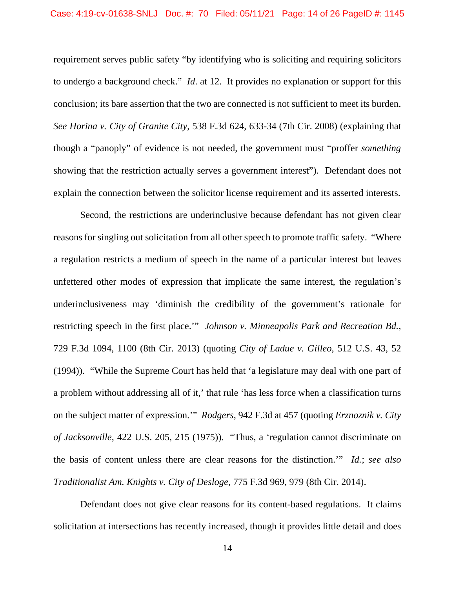requirement serves public safety "by identifying who is soliciting and requiring solicitors to undergo a background check." *Id*. at 12. It provides no explanation or support for this conclusion; its bare assertion that the two are connected is not sufficient to meet its burden. *See Horina v. City of Granite City*, 538 F.3d 624, 633-34 (7th Cir. 2008) (explaining that though a "panoply" of evidence is not needed, the government must "proffer *something* showing that the restriction actually serves a government interest"). Defendant does not explain the connection between the solicitor license requirement and its asserted interests.

Second, the restrictions are underinclusive because defendant has not given clear reasons for singling out solicitation from all other speech to promote traffic safety. "Where a regulation restricts a medium of speech in the name of a particular interest but leaves unfettered other modes of expression that implicate the same interest, the regulation's underinclusiveness may 'diminish the credibility of the government's rationale for restricting speech in the first place.'" *Johnson v. Minneapolis Park and Recreation Bd.*, 729 F.3d 1094, 1100 (8th Cir. 2013) (quoting *City of Ladue v. Gilleo*, 512 U.S. 43, 52 (1994)). "While the Supreme Court has held that 'a legislature may deal with one part of a problem without addressing all of it,' that rule 'has less force when a classification turns on the subject matter of expression.'" *Rodgers*, 942 F.3d at 457 (quoting *Erznoznik v. City of Jacksonville*, 422 U.S. 205, 215 (1975)). "Thus, a 'regulation cannot discriminate on the basis of content unless there are clear reasons for the distinction.'" *Id.*; *see also Traditionalist Am. Knights v. City of Desloge*, 775 F.3d 969, 979 (8th Cir. 2014).

Defendant does not give clear reasons for its content-based regulations. It claims solicitation at intersections has recently increased, though it provides little detail and does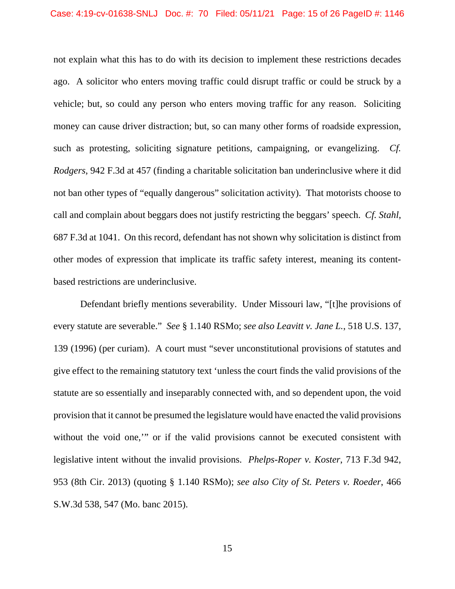not explain what this has to do with its decision to implement these restrictions decades ago. A solicitor who enters moving traffic could disrupt traffic or could be struck by a vehicle; but, so could any person who enters moving traffic for any reason. Soliciting money can cause driver distraction; but, so can many other forms of roadside expression, such as protesting, soliciting signature petitions, campaigning, or evangelizing. *Cf. Rodgers*, 942 F.3d at 457 (finding a charitable solicitation ban underinclusive where it did not ban other types of "equally dangerous" solicitation activity). That motorists choose to call and complain about beggars does not justify restricting the beggars' speech. *Cf. Stahl*, 687 F.3d at 1041. On this record, defendant has not shown why solicitation is distinct from other modes of expression that implicate its traffic safety interest, meaning its contentbased restrictions are underinclusive.

Defendant briefly mentions severability. Under Missouri law, "[t]he provisions of every statute are severable." *See* § 1.140 RSMo; *see also Leavitt v. Jane L.*, 518 U.S. 137, 139 (1996) (per curiam). A court must "sever unconstitutional provisions of statutes and give effect to the remaining statutory text 'unless the court finds the valid provisions of the statute are so essentially and inseparably connected with, and so dependent upon, the void provision that it cannot be presumed the legislature would have enacted the valid provisions without the void one," or if the valid provisions cannot be executed consistent with legislative intent without the invalid provisions. *Phelps-Roper v. Koster*, 713 F.3d 942, 953 (8th Cir. 2013) (quoting § 1.140 RSMo); *see also City of St. Peters v. Roeder*, 466 S.W.3d 538, 547 (Mo. banc 2015).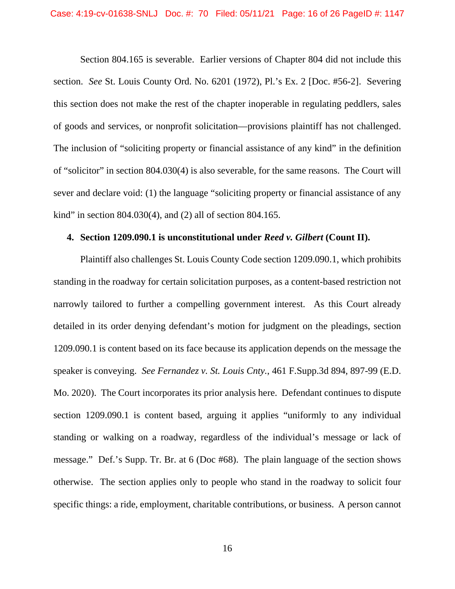Section 804.165 is severable. Earlier versions of Chapter 804 did not include this section. *See* St. Louis County Ord. No. 6201 (1972), Pl.'s Ex. 2 [Doc. #56-2]. Severing this section does not make the rest of the chapter inoperable in regulating peddlers, sales of goods and services, or nonprofit solicitation—provisions plaintiff has not challenged. The inclusion of "soliciting property or financial assistance of any kind" in the definition of "solicitor" in section 804.030(4) is also severable, for the same reasons. The Court will sever and declare void: (1) the language "soliciting property or financial assistance of any kind" in section 804.030(4), and (2) all of section 804.165.

#### **4. Section 1209.090.1 is unconstitutional under** *Reed v. Gilbert* **(Count II).**

Plaintiff also challenges St. Louis County Code section 1209.090.1, which prohibits standing in the roadway for certain solicitation purposes, as a content-based restriction not narrowly tailored to further a compelling government interest. As this Court already detailed in its order denying defendant's motion for judgment on the pleadings, section 1209.090.1 is content based on its face because its application depends on the message the speaker is conveying. *See Fernandez v. St. Louis Cnty.*, 461 F.Supp.3d 894, 897-99 (E.D. Mo. 2020). The Court incorporates its prior analysis here. Defendant continues to dispute section 1209.090.1 is content based, arguing it applies "uniformly to any individual standing or walking on a roadway, regardless of the individual's message or lack of message." Def.'s Supp. Tr. Br. at 6 (Doc #68). The plain language of the section shows otherwise. The section applies only to people who stand in the roadway to solicit four specific things: a ride, employment, charitable contributions, or business. A person cannot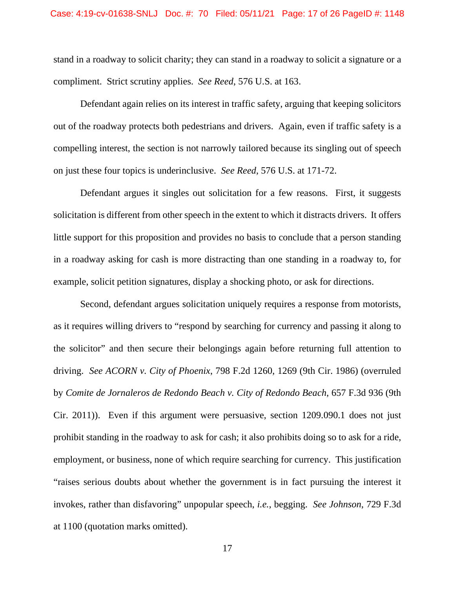stand in a roadway to solicit charity; they can stand in a roadway to solicit a signature or a compliment. Strict scrutiny applies. *See Reed*, 576 U.S. at 163.

Defendant again relies on its interest in traffic safety, arguing that keeping solicitors out of the roadway protects both pedestrians and drivers. Again, even if traffic safety is a compelling interest, the section is not narrowly tailored because its singling out of speech on just these four topics is underinclusive. *See Reed*, 576 U.S. at 171-72.

Defendant argues it singles out solicitation for a few reasons. First, it suggests solicitation is different from other speech in the extent to which it distracts drivers. It offers little support for this proposition and provides no basis to conclude that a person standing in a roadway asking for cash is more distracting than one standing in a roadway to, for example, solicit petition signatures, display a shocking photo, or ask for directions.

Second, defendant argues solicitation uniquely requires a response from motorists, as it requires willing drivers to "respond by searching for currency and passing it along to the solicitor" and then secure their belongings again before returning full attention to driving. *See ACORN v. City of Phoenix*, 798 F.2d 1260, 1269 (9th Cir. 1986) (overruled by *Comite de Jornaleros de Redondo Beach v. City of Redondo Beach*, 657 F.3d 936 (9th Cir. 2011)). Even if this argument were persuasive, section 1209.090.1 does not just prohibit standing in the roadway to ask for cash; it also prohibits doing so to ask for a ride, employment, or business, none of which require searching for currency. This justification "raises serious doubts about whether the government is in fact pursuing the interest it invokes, rather than disfavoring" unpopular speech, *i.e.*, begging. *See Johnson*, 729 F.3d at 1100 (quotation marks omitted).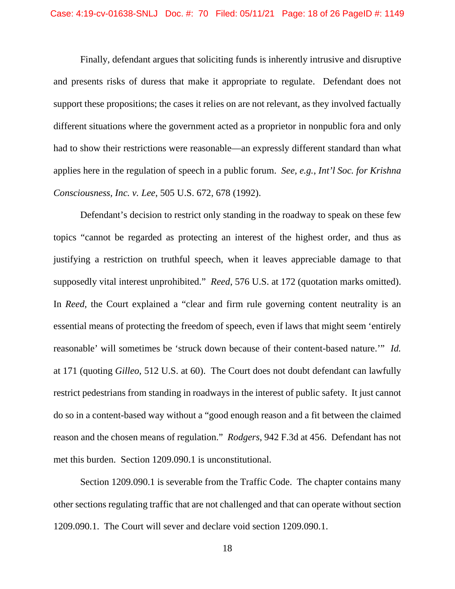Finally, defendant argues that soliciting funds is inherently intrusive and disruptive and presents risks of duress that make it appropriate to regulate. Defendant does not support these propositions; the cases it relies on are not relevant, as they involved factually different situations where the government acted as a proprietor in nonpublic fora and only had to show their restrictions were reasonable—an expressly different standard than what applies here in the regulation of speech in a public forum. *See, e.g.*, *Int'l Soc. for Krishna Consciousness, Inc. v. Lee*, 505 U.S. 672, 678 (1992).

Defendant's decision to restrict only standing in the roadway to speak on these few topics "cannot be regarded as protecting an interest of the highest order, and thus as justifying a restriction on truthful speech, when it leaves appreciable damage to that supposedly vital interest unprohibited." *Reed*, 576 U.S. at 172 (quotation marks omitted). In *Reed*, the Court explained a "clear and firm rule governing content neutrality is an essential means of protecting the freedom of speech, even if laws that might seem 'entirely reasonable' will sometimes be 'struck down because of their content-based nature.'" *Id.* at 171 (quoting *Gilleo*, 512 U.S. at 60). The Court does not doubt defendant can lawfully restrict pedestrians from standing in roadways in the interest of public safety. It just cannot do so in a content-based way without a "good enough reason and a fit between the claimed reason and the chosen means of regulation." *Rodgers*, 942 F.3d at 456. Defendant has not met this burden. Section 1209.090.1 is unconstitutional.

Section 1209.090.1 is severable from the Traffic Code. The chapter contains many other sections regulating traffic that are not challenged and that can operate without section 1209.090.1. The Court will sever and declare void section 1209.090.1.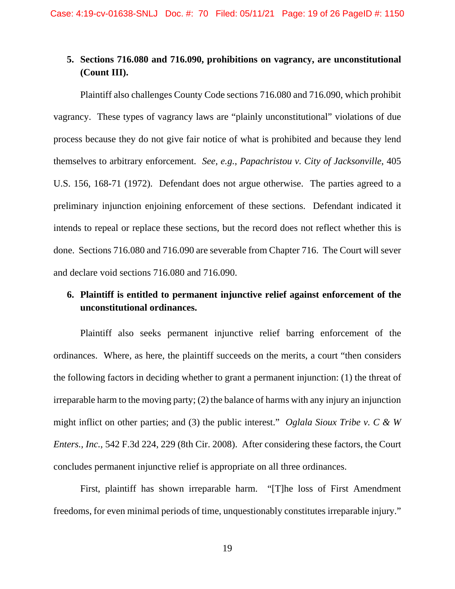## **5. Sections 716.080 and 716.090, prohibitions on vagrancy, are unconstitutional (Count III).**

Plaintiff also challenges County Code sections 716.080 and 716.090, which prohibit vagrancy. These types of vagrancy laws are "plainly unconstitutional" violations of due process because they do not give fair notice of what is prohibited and because they lend themselves to arbitrary enforcement. *See, e.g.*, *Papachristou v. City of Jacksonville*, 405 U.S. 156, 168-71 (1972). Defendant does not argue otherwise. The parties agreed to a preliminary injunction enjoining enforcement of these sections. Defendant indicated it intends to repeal or replace these sections, but the record does not reflect whether this is done. Sections 716.080 and 716.090 are severable from Chapter 716. The Court will sever and declare void sections 716.080 and 716.090.

## **6. Plaintiff is entitled to permanent injunctive relief against enforcement of the unconstitutional ordinances.**

Plaintiff also seeks permanent injunctive relief barring enforcement of the ordinances. Where, as here, the plaintiff succeeds on the merits, a court "then considers the following factors in deciding whether to grant a permanent injunction: (1) the threat of irreparable harm to the moving party; (2) the balance of harms with any injury an injunction might inflict on other parties; and (3) the public interest." *Oglala Sioux Tribe v. C & W Enters., Inc.*, 542 F.3d 224, 229 (8th Cir. 2008). After considering these factors, the Court concludes permanent injunctive relief is appropriate on all three ordinances.

First, plaintiff has shown irreparable harm. "[T]he loss of First Amendment freedoms, for even minimal periods of time, unquestionably constitutes irreparable injury."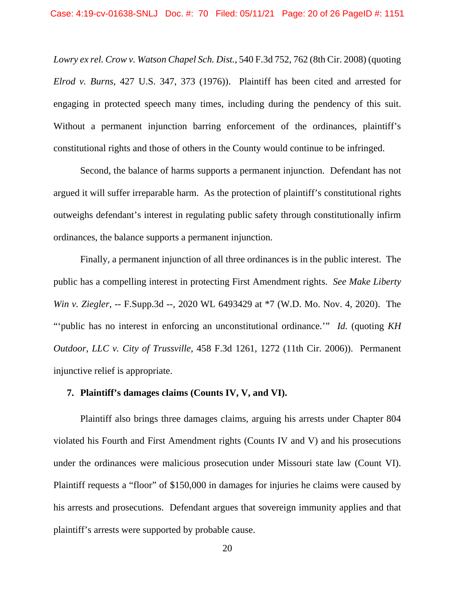*Lowry ex rel. Crow v. Watson Chapel Sch. Dist.*, 540 F.3d 752, 762 (8th Cir. 2008) (quoting *Elrod v. Burns*, 427 U.S. 347, 373 (1976)). Plaintiff has been cited and arrested for engaging in protected speech many times, including during the pendency of this suit. Without a permanent injunction barring enforcement of the ordinances, plaintiff's constitutional rights and those of others in the County would continue to be infringed.

Second, the balance of harms supports a permanent injunction. Defendant has not argued it will suffer irreparable harm. As the protection of plaintiff's constitutional rights outweighs defendant's interest in regulating public safety through constitutionally infirm ordinances, the balance supports a permanent injunction.

Finally, a permanent injunction of all three ordinances is in the public interest. The public has a compelling interest in protecting First Amendment rights. *See Make Liberty Win v. Ziegler*, -- F.Supp.3d --, 2020 WL 6493429 at \*7 (W.D. Mo. Nov. 4, 2020). The "'public has no interest in enforcing an unconstitutional ordinance.'" *Id.* (quoting *KH Outdoor, LLC v. City of Trussville*, 458 F.3d 1261, 1272 (11th Cir. 2006)). Permanent injunctive relief is appropriate.

#### **7. Plaintiff's damages claims (Counts IV, V, and VI).**

Plaintiff also brings three damages claims, arguing his arrests under Chapter 804 violated his Fourth and First Amendment rights (Counts IV and V) and his prosecutions under the ordinances were malicious prosecution under Missouri state law (Count VI). Plaintiff requests a "floor" of \$150,000 in damages for injuries he claims were caused by his arrests and prosecutions. Defendant argues that sovereign immunity applies and that plaintiff's arrests were supported by probable cause.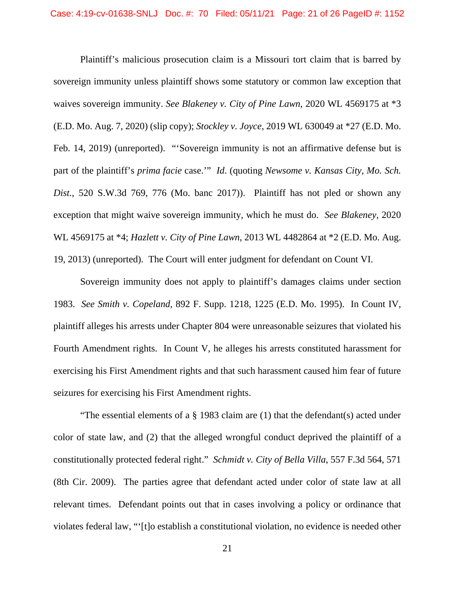Plaintiff's malicious prosecution claim is a Missouri tort claim that is barred by sovereign immunity unless plaintiff shows some statutory or common law exception that waives sovereign immunity. *See Blakeney v. City of Pine Lawn*, 2020 WL 4569175 at \*3 (E.D. Mo. Aug. 7, 2020) (slip copy); *Stockley v. Joyce*, 2019 WL 630049 at \*27 (E.D. Mo. Feb. 14, 2019) (unreported). "'Sovereign immunity is not an affirmative defense but is part of the plaintiff's *prima facie* case.'" *Id*. (quoting *Newsome v. Kansas City, Mo. Sch. Dist.*, 520 S.W.3d 769, 776 (Mo. banc 2017)). Plaintiff has not pled or shown any exception that might waive sovereign immunity, which he must do. *See Blakeney*, 2020 WL 4569175 at \*4; *Hazlett v. City of Pine Lawn*, 2013 WL 4482864 at \*2 (E.D. Mo. Aug. 19, 2013) (unreported). The Court will enter judgment for defendant on Count VI.

Sovereign immunity does not apply to plaintiff's damages claims under section 1983. *See Smith v. Copeland*, 892 F. Supp. 1218, 1225 (E.D. Mo. 1995). In Count IV, plaintiff alleges his arrests under Chapter 804 were unreasonable seizures that violated his Fourth Amendment rights. In Count V, he alleges his arrests constituted harassment for exercising his First Amendment rights and that such harassment caused him fear of future seizures for exercising his First Amendment rights.

"The essential elements of a  $\S$  1983 claim are (1) that the defendant(s) acted under color of state law, and (2) that the alleged wrongful conduct deprived the plaintiff of a constitutionally protected federal right." *Schmidt v. City of Bella Villa*, 557 F.3d 564, 571 (8th Cir. 2009). The parties agree that defendant acted under color of state law at all relevant times. Defendant points out that in cases involving a policy or ordinance that violates federal law, "'[t]o establish a constitutional violation, no evidence is needed other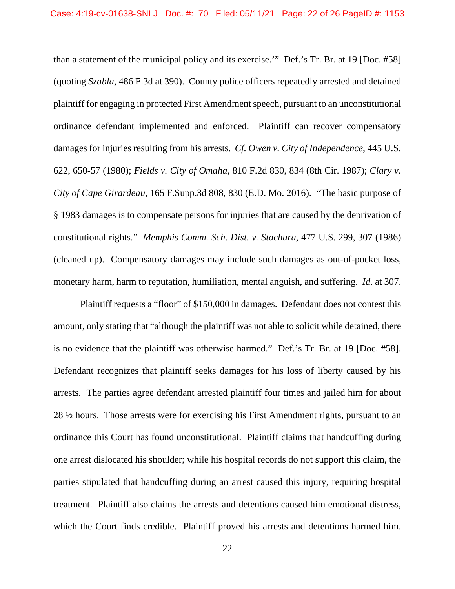than a statement of the municipal policy and its exercise.'" Def.'s Tr. Br. at 19 [Doc. #58] (quoting *Szabla*, 486 F.3d at 390). County police officers repeatedly arrested and detained plaintiff for engaging in protected First Amendment speech, pursuant to an unconstitutional ordinance defendant implemented and enforced. Plaintiff can recover compensatory damages for injuries resulting from his arrests. *Cf. Owen v. City of Independence*, 445 U.S. 622, 650-57 (1980); *Fields v. City of Omaha*, 810 F.2d 830, 834 (8th Cir. 1987); *Clary v. City of Cape Girardeau*, 165 F.Supp.3d 808, 830 (E.D. Mo. 2016). "The basic purpose of § 1983 damages is to compensate persons for injuries that are caused by the deprivation of constitutional rights." *Memphis Comm. Sch. Dist. v. Stachura*, 477 U.S. 299, 307 (1986) (cleaned up). Compensatory damages may include such damages as out-of-pocket loss, monetary harm, harm to reputation, humiliation, mental anguish, and suffering. *Id*. at 307.

Plaintiff requests a "floor" of \$150,000 in damages. Defendant does not contest this amount, only stating that "although the plaintiff was not able to solicit while detained, there is no evidence that the plaintiff was otherwise harmed." Def.'s Tr. Br. at 19 [Doc. #58]. Defendant recognizes that plaintiff seeks damages for his loss of liberty caused by his arrests. The parties agree defendant arrested plaintiff four times and jailed him for about 28 ½ hours. Those arrests were for exercising his First Amendment rights, pursuant to an ordinance this Court has found unconstitutional. Plaintiff claims that handcuffing during one arrest dislocated his shoulder; while his hospital records do not support this claim, the parties stipulated that handcuffing during an arrest caused this injury, requiring hospital treatment. Plaintiff also claims the arrests and detentions caused him emotional distress, which the Court finds credible. Plaintiff proved his arrests and detentions harmed him.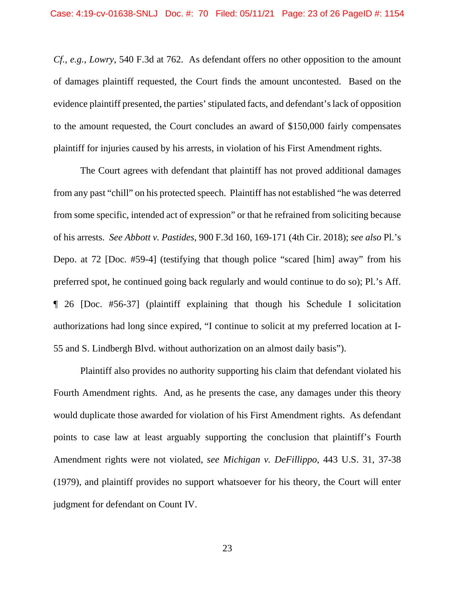*Cf., e.g.*, *Lowry*, 540 F.3d at 762. As defendant offers no other opposition to the amount of damages plaintiff requested, the Court finds the amount uncontested. Based on the evidence plaintiff presented, the parties' stipulated facts, and defendant's lack of opposition to the amount requested, the Court concludes an award of \$150,000 fairly compensates plaintiff for injuries caused by his arrests, in violation of his First Amendment rights.

The Court agrees with defendant that plaintiff has not proved additional damages from any past "chill" on his protected speech. Plaintiff has not established "he was deterred from some specific, intended act of expression" or that he refrained from soliciting because of his arrests. *See Abbott v. Pastides*, 900 F.3d 160, 169-171 (4th Cir. 2018); *see also* Pl.'s Depo. at 72 [Doc. #59-4] (testifying that though police "scared [him] away" from his preferred spot, he continued going back regularly and would continue to do so); Pl.'s Aff. ¶ 26 [Doc. #56-37] (plaintiff explaining that though his Schedule I solicitation authorizations had long since expired, "I continue to solicit at my preferred location at I-55 and S. Lindbergh Blvd. without authorization on an almost daily basis").

Plaintiff also provides no authority supporting his claim that defendant violated his Fourth Amendment rights. And, as he presents the case, any damages under this theory would duplicate those awarded for violation of his First Amendment rights. As defendant points to case law at least arguably supporting the conclusion that plaintiff's Fourth Amendment rights were not violated, *see Michigan v. DeFillippo*, 443 U.S. 31, 37-38 (1979), and plaintiff provides no support whatsoever for his theory, the Court will enter judgment for defendant on Count IV.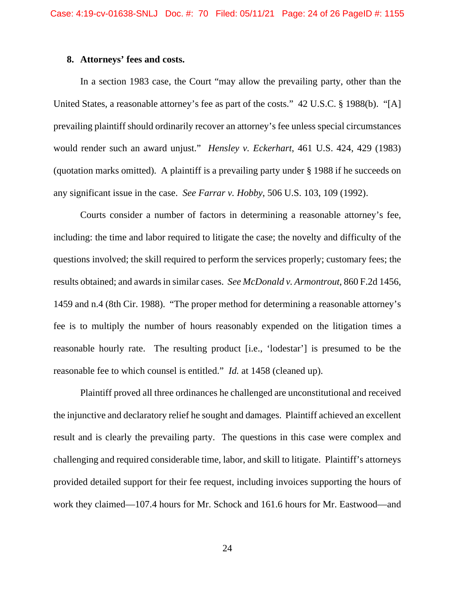#### **8. Attorneys' fees and costs.**

In a section 1983 case, the Court "may allow the prevailing party, other than the United States, a reasonable attorney's fee as part of the costs." 42 U.S.C. § 1988(b). "[A] prevailing plaintiff should ordinarily recover an attorney's fee unless special circumstances would render such an award unjust." *Hensley v. Eckerhart*, 461 U.S. 424, 429 (1983) (quotation marks omitted). A plaintiff is a prevailing party under § 1988 if he succeeds on any significant issue in the case. *See Farrar v. Hobby*, 506 U.S. 103, 109 (1992).

Courts consider a number of factors in determining a reasonable attorney's fee, including: the time and labor required to litigate the case; the novelty and difficulty of the questions involved; the skill required to perform the services properly; customary fees; the results obtained; and awards in similar cases. *See McDonald v. Armontrout*, 860 F.2d 1456, 1459 and n.4 (8th Cir. 1988). "The proper method for determining a reasonable attorney's fee is to multiply the number of hours reasonably expended on the litigation times a reasonable hourly rate. The resulting product [i.e., 'lodestar'] is presumed to be the reasonable fee to which counsel is entitled." *Id.* at 1458 (cleaned up).

Plaintiff proved all three ordinances he challenged are unconstitutional and received the injunctive and declaratory relief he sought and damages. Plaintiff achieved an excellent result and is clearly the prevailing party. The questions in this case were complex and challenging and required considerable time, labor, and skill to litigate. Plaintiff's attorneys provided detailed support for their fee request, including invoices supporting the hours of work they claimed—107.4 hours for Mr. Schock and 161.6 hours for Mr. Eastwood—and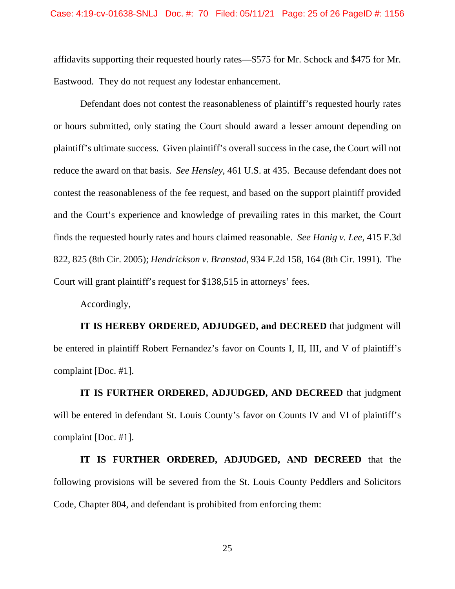affidavits supporting their requested hourly rates—\$575 for Mr. Schock and \$475 for Mr. Eastwood. They do not request any lodestar enhancement.

Defendant does not contest the reasonableness of plaintiff's requested hourly rates or hours submitted, only stating the Court should award a lesser amount depending on plaintiff's ultimate success. Given plaintiff's overall success in the case, the Court will not reduce the award on that basis. *See Hensley*, 461 U.S. at 435. Because defendant does not contest the reasonableness of the fee request, and based on the support plaintiff provided and the Court's experience and knowledge of prevailing rates in this market, the Court finds the requested hourly rates and hours claimed reasonable. *See Hanig v. Lee*, 415 F.3d 822, 825 (8th Cir. 2005); *Hendrickson v. Branstad*, 934 F.2d 158, 164 (8th Cir. 1991). The Court will grant plaintiff's request for \$138,515 in attorneys' fees.

Accordingly,

**IT IS HEREBY ORDERED, ADJUDGED, and DECREED** that judgment will be entered in plaintiff Robert Fernandez's favor on Counts I, II, III, and V of plaintiff's complaint [Doc. #1].

**IT IS FURTHER ORDERED, ADJUDGED, AND DECREED** that judgment will be entered in defendant St. Louis County's favor on Counts IV and VI of plaintiff's complaint [Doc. #1].

**IT IS FURTHER ORDERED, ADJUDGED, AND DECREED** that the following provisions will be severed from the St. Louis County Peddlers and Solicitors Code, Chapter 804, and defendant is prohibited from enforcing them: